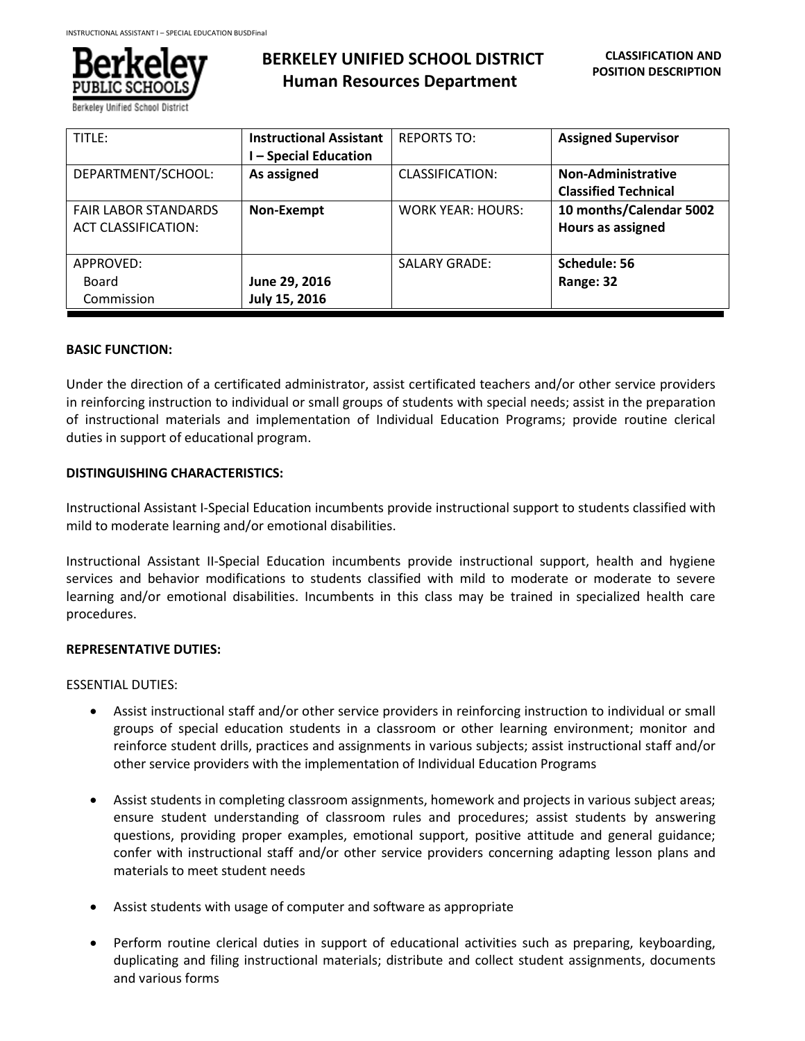

| TITLE:                                                    | <b>Instructional Assistant</b><br><b>- Special Education</b> | <b>REPORTS TO:</b>       | <b>Assigned Supervisor</b>                               |
|-----------------------------------------------------------|--------------------------------------------------------------|--------------------------|----------------------------------------------------------|
| DEPARTMENT/SCHOOL:                                        | As assigned                                                  | CLASSIFICATION:          | <b>Non-Administrative</b><br><b>Classified Technical</b> |
| <b>FAIR LABOR STANDARDS</b><br><b>ACT CLASSIFICATION:</b> | Non-Exempt                                                   | <b>WORK YEAR: HOURS:</b> | 10 months/Calendar 5002<br>Hours as assigned             |
| APPROVED:                                                 |                                                              | <b>SALARY GRADE:</b>     | Schedule: 56                                             |
| Board                                                     | June 29, 2016                                                |                          | Range: 32                                                |
| Commission                                                | July 15, 2016                                                |                          |                                                          |

### **BASIC FUNCTION:**

Under the direction of a certificated administrator, assist certificated teachers and/or other service providers in reinforcing instruction to individual or small groups of students with special needs; assist in the preparation of instructional materials and implementation of Individual Education Programs; provide routine clerical duties in support of educational program.

### **DISTINGUISHING CHARACTERISTICS:**

Instructional Assistant I-Special Education incumbents provide instructional support to students classified with mild to moderate learning and/or emotional disabilities.

Instructional Assistant II-Special Education incumbents provide instructional support, health and hygiene services and behavior modifications to students classified with mild to moderate or moderate to severe learning and/or emotional disabilities. Incumbents in this class may be trained in specialized health care procedures.

# **REPRESENTATIVE DUTIES:**

#### ESSENTIAL DUTIES:

- Assist instructional staff and/or other service providers in reinforcing instruction to individual or small groups of special education students in a classroom or other learning environment; monitor and reinforce student drills, practices and assignments in various subjects; assist instructional staff and/or other service providers with the implementation of Individual Education Programs
- Assist students in completing classroom assignments, homework and projects in various subject areas; ensure student understanding of classroom rules and procedures; assist students by answering questions, providing proper examples, emotional support, positive attitude and general guidance; confer with instructional staff and/or other service providers concerning adapting lesson plans and materials to meet student needs
- Assist students with usage of computer and software as appropriate
- Perform routine clerical duties in support of educational activities such as preparing, keyboarding, duplicating and filing instructional materials; distribute and collect student assignments, documents and various forms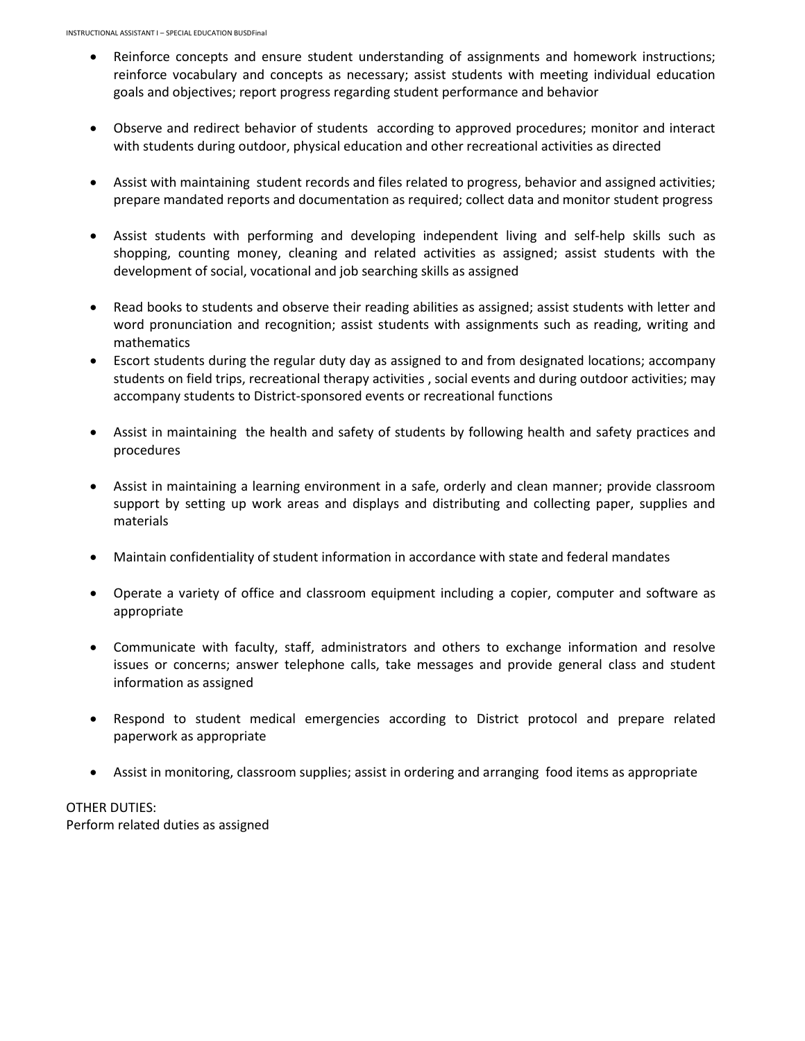- Reinforce concepts and ensure student understanding of assignments and homework instructions; reinforce vocabulary and concepts as necessary; assist students with meeting individual education goals and objectives; report progress regarding student performance and behavior
- Observe and redirect behavior of students according to approved procedures; monitor and interact with students during outdoor, physical education and other recreational activities as directed
- Assist with maintaining student records and files related to progress, behavior and assigned activities; prepare mandated reports and documentation as required; collect data and monitor student progress
- Assist students with performing and developing independent living and self-help skills such as shopping, counting money, cleaning and related activities as assigned; assist students with the development of social, vocational and job searching skills as assigned
- Read books to students and observe their reading abilities as assigned; assist students with letter and word pronunciation and recognition; assist students with assignments such as reading, writing and mathematics
- Escort students during the regular duty day as assigned to and from designated locations; accompany students on field trips, recreational therapy activities , social events and during outdoor activities; may accompany students to District-sponsored events or recreational functions
- Assist in maintaining the health and safety of students by following health and safety practices and procedures
- Assist in maintaining a learning environment in a safe, orderly and clean manner; provide classroom support by setting up work areas and displays and distributing and collecting paper, supplies and materials
- Maintain confidentiality of student information in accordance with state and federal mandates
- Operate a variety of office and classroom equipment including a copier, computer and software as appropriate
- Communicate with faculty, staff, administrators and others to exchange information and resolve issues or concerns; answer telephone calls, take messages and provide general class and student information as assigned
- Respond to student medical emergencies according to District protocol and prepare related paperwork as appropriate
- Assist in monitoring, classroom supplies; assist in ordering and arranging food items as appropriate

OTHER DUTIES: Perform related duties as assigned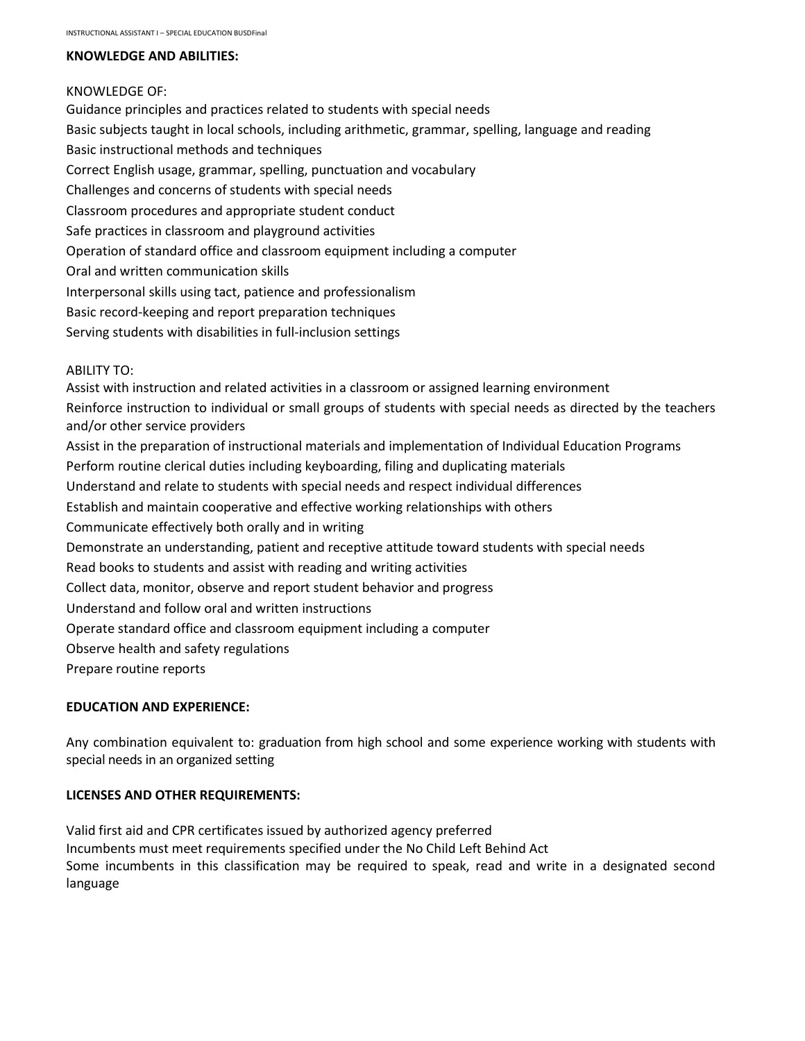### **KNOWLEDGE AND ABILITIES:**

### KNOWLEDGE OF:

Guidance principles and practices related to students with special needs Basic subjects taught in local schools, including arithmetic, grammar, spelling, language and reading Basic instructional methods and techniques Correct English usage, grammar, spelling, punctuation and vocabulary Challenges and concerns of students with special needs Classroom procedures and appropriate student conduct Safe practices in classroom and playground activities Operation of standard office and classroom equipment including a computer Oral and written communication skills Interpersonal skills using tact, patience and professionalism Basic record-keeping and report preparation techniques Serving students with disabilities in full-inclusion settings ABILITY TO: Assist with instruction and related activities in a classroom or assigned learning environment Reinforce instruction to individual or small groups of students with special needs as directed by the teachers and/or other service providers Assist in the preparation of instructional materials and implementation of Individual Education Programs Perform routine clerical duties including keyboarding, filing and duplicating materials Understand and relate to students with special needs and respect individual differences Establish and maintain cooperative and effective working relationships with others

Communicate effectively both orally and in writing

Demonstrate an understanding, patient and receptive attitude toward students with special needs

Read books to students and assist with reading and writing activities

Collect data, monitor, observe and report student behavior and progress

Understand and follow oral and written instructions

Operate standard office and classroom equipment including a computer

Observe health and safety regulations

Prepare routine reports

# **EDUCATION AND EXPERIENCE:**

Any combination equivalent to: graduation from high school and some experience working with students with special needs in an organized setting

# **LICENSES AND OTHER REQUIREMENTS:**

Valid first aid and CPR certificates issued by authorized agency preferred Incumbents must meet requirements specified under the No Child Left Behind Act Some incumbents in this classification may be required to speak, read and write in a designated second language